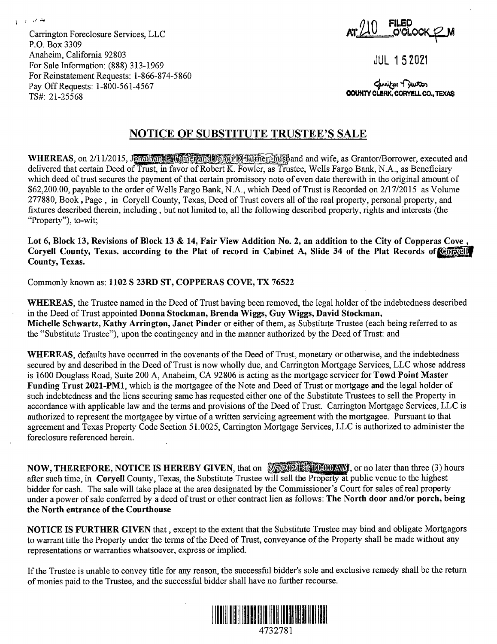Carrington Foreclosure Services, LLC P.O. Box 3309 Anaheim, California 92803 For Sale Information: (888) 313-1969 For Reinstatement Requests: 1-866-874-5860 Pay Off Requests: 1-800-561-4567 TS#: 21-25568

្ន*ំ* គឺ

 $\ddot{\cdot}$ 

**FILED O'Ci..OCK\_\2-M** 

JUL 1 5 2021

**OOUNTV CL!RK,**  ~~ **OORY!LL CO., TEXAS** 

## **NOTICE OF SUBSTITUTE TRUSTEE'S SALE**

**WHEREAS**, on 2/11/2015, Jonathand Finance and Johns D Turner, husband and wife, as Grantor/Borrower, executed and delivered that certain Deed of Trust, in favor of Robert K. Fowler, as Trustee, Wells Fargo Bank, N.A., as Beneficiary which deed of trust secures the payment of that certain promissory note of even date therewith in the original amount of \$62,200.00, payable to the order of Wells Fargo Bank, N.A., which Deed of Trust is Recorded on 2/17/2015 as Volume 277880, Book, Page, in Coryell County, Texas, Deed of Trust covers all of the real property, personal property, and fixtures described therein, including, but not limited to, all the following described property, rights and interests (the "Property"), to-wit;

Lot 6, Block 13, Revisions of Block 13 & 14, Fair View Addition No. 2, an addition to the City of Copperas Cove<br>Coryell County, Texas. according to the Plat of record in Cabinet A, Slide 34 of the Plat Records of Convell **County, Texas.** 

Commonly known as: **1102 S 23RD ST, COPPERAS COVE, TX 76522** 

**WHEREAS,** the Trustee named in the Deed of Trust having been removed, the legal holder of the indebtedness described in the Deed of Trust appointed **Donna Stockman, Brenda Wiggs, Guy Wiggs, David Stockman, Michelle Schwartz, Kathy Arrington, Janet Pinder** or either of them, as Substitute Trustee (each being referred to as the "Substitute Trustee"), upon the contingency and in the manner authorized by the Deed of Trust: and

**WHEREAS,** defaults have occurred in the covenants of the Deed of Trust, monetary or otherwise, and the indebtedness secured by and described in the Deed of Trust is now wholly due, and Carrington Mortgage Services, LLC whose address is 1600 Douglass Road, Suite 200 A, Anaheim, CA 92806 is acting as the mortgage servicer for **Towd Point Master Funding Trust 2021-PMl,** which is the mortgagee of the Note and Deed of Trust or mortgage and the legal holder of such indebtedness and the liens securing same has requested either one of the Substitute Trustees to sell the Property in accordance with applicable law and the terms and provisions of the Deed of Trust. Carrington Mortgage Services, LLC is authorized to represent the mortgagee by virtue of a written servicing agreement with the mortgagee. Pursuant to that agreement and Texas Property Code Section 51.0025, Carrington Mortgage Services, LLC is authorized to administer the foreclosure referenced herein.

**NOW, THEREFORE, NOTICE IS HEREBY GIVEN, that on**  $\sqrt{\frac{1}{2}}$  **2021 and**  $\sqrt{\frac{1}{2}}$  **or no later than three (3) hours** after such time, in **Coryell** County, Texas, the Substitute Trustee will sell the Property at public venue to the highest bidder for cash. The sale will take place at the area designated by the Commissioner's Court for sales of real property under a power of sale conferred by a deed of trust or other contract lien as follows: **The North door and/or porch, being the North entrance of the Courthouse** 

**NOTICE IS FURTHER GIVEN** that , except to the extent that the Substitute Trustee may bind and obligate Mortgagors to warrant title the Property under the terms of the Deed of Trust, conveyance of the Property shall be made without any representations or warranties whatsoever, express or implied.

If the Trustee is unable to convey title for any reason, the successful bidder's sole and exclusive remedy shall be the return of monies paid to the Trustee, and the successful bidder shall have no further recourse.